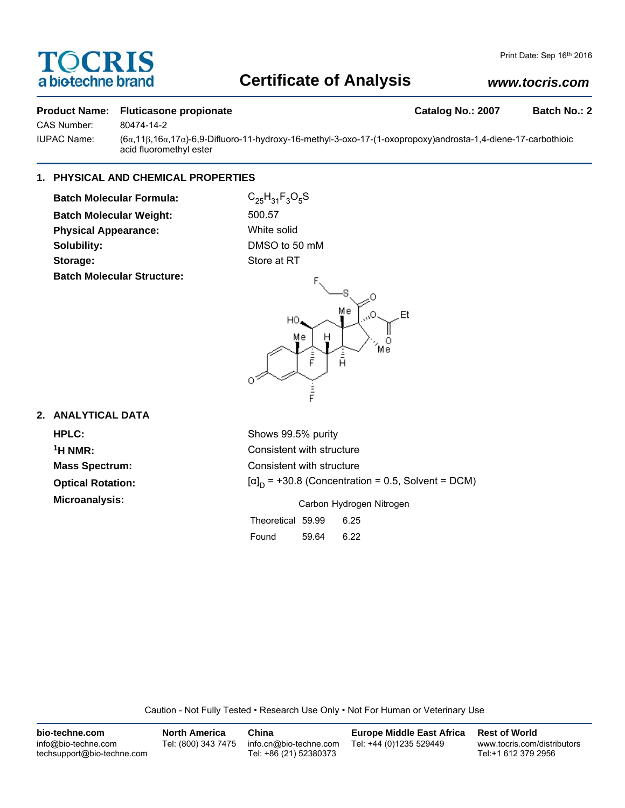# **TOCRIS** a biotechne brand

## **Certificate of Analysis**

## *www.tocris.com*

#### **Product Name: Fluticasone propionate Catalog No.: 2007 Batch No.: 2**

CAS Number: 80474-14-2

IUPAC Name: (6α,11β,16α,17α)-6,9-Difluoro-11-hydroxy-16-methyl-3-oxo-17-(1-oxopropoxy)androsta-1,4-diene-17-carbothioic acid fluoromethyl ester

### **1. PHYSICAL AND CHEMICAL PROPERTIES**

**Batch Molecular Formula:** C<sub>25</sub>H<sub>31</sub>F<sub>3</sub>O<sub>5</sub>S **Batch Molecular Weight:** 500.57 **Physical Appearance:** White solid **Solubility:** DMSO to 50 mM **Storage:** Store at RT **Batch Molecular Structure:**



## **2. ANALYTICAL DATA**

**HPLC:** Shows 99.5% purity **Optical Rotation: Microanalysis:** Microanalysis: Carbon Hydrogen Nitrogen

<sup>1</sup>H NMR: Consistent with structure **Mass Spectrum:** Consistent with structure  $[\alpha]_D$  = +30.8 (Concentration = 0.5, Solvent = DCM)

|                   | Carbon Hydrogen Nitrogen |      |  |
|-------------------|--------------------------|------|--|
| Theoretical 59.99 |                          | 6.25 |  |
| Found             | 59.64                    | 6.22 |  |

Caution - Not Fully Tested • Research Use Only • Not For Human or Veterinary Use

| bio-techne.com                                    | <b>North America</b> | China                                            | <b>Europe Middle East Africa</b> | <b>Rest of World</b>                               |
|---------------------------------------------------|----------------------|--------------------------------------------------|----------------------------------|----------------------------------------------------|
| info@bio-techne.com<br>techsupport@bio-techne.com | Tel: (800) 343 7475  | info.cn@bio-techne.com<br>Tel: +86 (21) 52380373 | Tel: +44 (0)1235 529449          | www.tocris.com/distributors<br>Tel:+1 612 379 2956 |